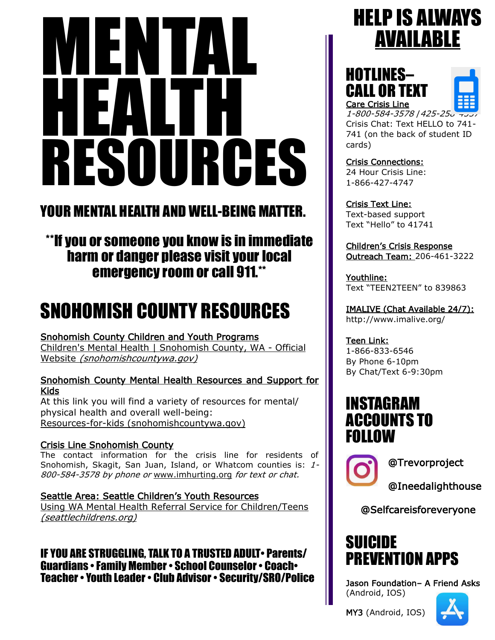# MENTAL HEALTH RESOURCES

## YOUR MENTAL HEALTH AND WELL-BEING MATTER.

## \*\*If you or someone you know is in immediate harm or danger please visit your local emergency room or call 911.\*\*

# SNOHOMISH COUNTY RESOURCES

#### Snohomish County Children and Youth Programs

[Children's Mental Health | Snohomish County, WA -](https://snohomishcountywa.gov/2886/27060/BH-Children-and-Youth-Programs) Official Website [\(snohomishcountywa.gov\)](https://snohomishcountywa.gov/2886/27060/BH-Children-and-Youth-Programs)

#### Snohomish County Mental Health Resources and Support for Kids

At this link you will find a variety of resources for mental/ physical health and overall well-being: [Resources-for-kids \(snohomishcountywa.gov\)](https://snohomishcountywa.gov/DocumentCenter/View/25976/Resources-for-kids?bidId=)

#### Crisis Line Snohomish County

The contact information for the crisis line for residents of Snohomish, Skagit, San Juan, Island, or Whatcom counties is: 1-800-584-3578 by phone or [www.imhurting.org](https://www.imhurting.org/) for text or chat.

Seattle Area: Seattle Children's Youth Resources [Using WA Mental Health Referral Service for Children/Teens](https://www.seattlechildrens.org/clinics/washington-mental-health-referral-service/)  [\(seattlechildrens.org\)](https://www.seattlechildrens.org/clinics/washington-mental-health-referral-service/)

IF YOU ARE STRUGGLING, TALK TO A TRUSTED ADULT• Parents/ Guardians • Family Member • School Counselor • Coach• Teacher • Youth Leader • Club Advisor • Security/SRO/Police

## HELP IS ALWAYS AVAILABLE

HOTLINES– CALL OR TEXT Care Crisis Line



1-800-584-3578 | 425-25<sub>0</sub>-Crisis Chat: Text HELLO to 741- 741 (on the back of student ID cards)

Crisis Connections: 24 Hour Crisis Line: 1-866-427-4747

Crisis Text Line: Text-based support Text "Hello" to 41741

Children's Crisis Response Outreach Team: 206-461-3222

Youthline: Text "TEEN2TEEN" to 839863

IMALIVE (Chat Available 24/7): http://www.imalive.org/

Teen Link: 1-866-833-6546 By Phone 6-10pm By Chat/Text 6-9:30pm

## INSTAGRAM ACCOUNTS TO FOLLOW



@Trevorproject

@Ineedalighthouse

@Selfcareisforeveryone

## SUICIDE PREVENTION APPS

Jason Foundation– A Friend Asks (Android, IOS)

MY3 (Android, IOS)

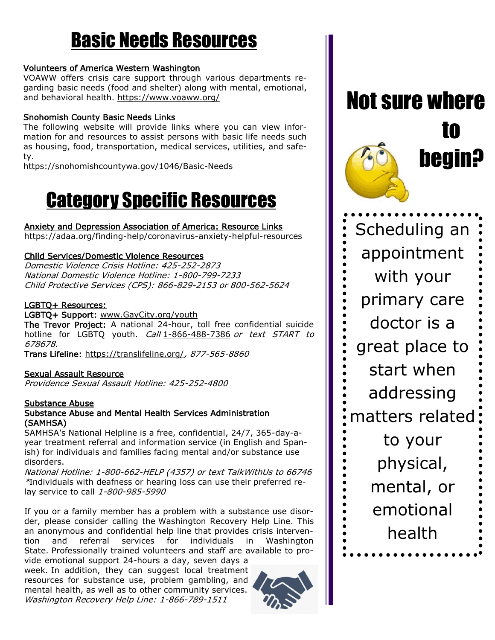# Basic Needs Resources

#### [Volunteers of America Western Washington](https://www.voaww.org/)

VOAWW offers crisis care support through various departments regarding basic needs (food and shelter) along with mental, emotional, and behavioral health.<https://www.voaww.org/>

#### Snohomish County Basic Needs Links

The following website will provide links where you can view information for and resources to assist persons with basic life needs such as housing, food, transportation, medical services, utilities, and safety.

https://snohomishcountywa.gov/1046/Basic-Needs

# Category Specific Resources

Anxiety and Depression Association of America: Resource Links <https://adaa.org/finding-help/coronavirus-anxiety-helpful-resources>

#### Child Services/Domestic Violence Resources

Domestic Violence Crisis Hotline: 425-252-2873 National Domestic Violence Hotline: 1-800-799-7233 Child Protective Services (CPS): 866-829-2153 or 800-562-5624

#### LGBTQ+ Resources:

LGBTQ+ Support: www.GayCity.org/youth The Trevor Project: A national 24-hour, toll free confidential suicide hotline for LGBTQ youth. Call [1-866-488-7386](tel:+1-866-488-7386) or text START to 678678.

Trans Lifeline:<https://translifeline.org/>, 877-565-8860

#### Sexual Assault Resource

Providence Sexual Assault Hotline: 425-252-4800

#### Substance Abuse

#### Substance Abuse and Mental Health Services Administration (SAMHSA)

SAMHSA's National Helpline is a free, confidential, 24/7, 365-day-ayear treatment referral and information service (in English and Spanish) for individuals and families facing mental and/or substance use disorders.

National Hotline: 1-800-662-HELP (4357) or text TalkWithUs to 66746 \*Individuals with deafness or hearing loss can use their preferred relay service to call 1-800-985-5990

If you or a family member has a problem with a substance use disor-der, please consider calling the [Washington Recovery Help Line.](http://www.warecoveryhelpline.org/) This an anonymous and confidential help line that provides crisis intervention and referral services for individuals in Washington State. Professionally trained volunteers and staff are available to pro-

vide emotional support 24-hours a day, seven days a week. In addition, they can suggest local treatment resources for substance use, problem gambling, and mental health, as well as to other community services. Washington Recovery Help Line: 1-866-789-1511



Not sure where to begin?

Scheduling an appointment with your primary care doctor is a great place to start when addressing matters related to your physical, mental, or emotional health